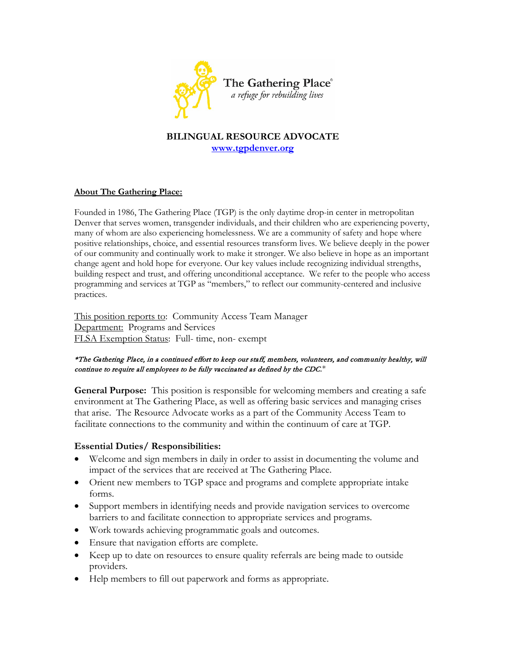

# **BILINGUAL RESOURCE ADVOCATE [www.tgpdenver.org](http://www.tgpdenver.org/)**

#### **About The Gathering Place:**

Founded in 1986, The Gathering Place (TGP) is the only daytime drop-in center in metropolitan Denver that serves women, transgender individuals, and their children who are experiencing poverty, many of whom are also experiencing homelessness. We are a community of safety and hope where positive relationships, choice, and essential resources transform lives. We believe deeply in the power of our community and continually work to make it stronger. We also believe in hope as an important change agent and hold hope for everyone. Our key values include recognizing individual strengths, building respect and trust, and offering unconditional acceptance. We refer to the people who access programming and services at TGP as "members," to reflect our community-centered and inclusive practices.

This position reports to: Community Access Team Manager Department: Programs and Services FLSA Exemption Status: Full- time, non- exempt

#### \*The Gathering Place, in a continued effort to keep our staff, members, volunteers, and community healthy, will continue to require all employees to be fully vaccinated as defined by the CDC. $*$

**General Purpose:** This position is responsible for welcoming members and creating a safe environment at The Gathering Place, as well as offering basic services and managing crises that arise. The Resource Advocate works as a part of the Community Access Team to facilitate connections to the community and within the continuum of care at TGP.

### **Essential Duties/ Responsibilities:**

- Welcome and sign members in daily in order to assist in documenting the volume and impact of the services that are received at The Gathering Place.
- Orient new members to TGP space and programs and complete appropriate intake forms.
- Support members in identifying needs and provide navigation services to overcome barriers to and facilitate connection to appropriate services and programs.
- Work towards achieving programmatic goals and outcomes.
- Ensure that navigation efforts are complete.
- Keep up to date on resources to ensure quality referrals are being made to outside providers.
- Help members to fill out paperwork and forms as appropriate.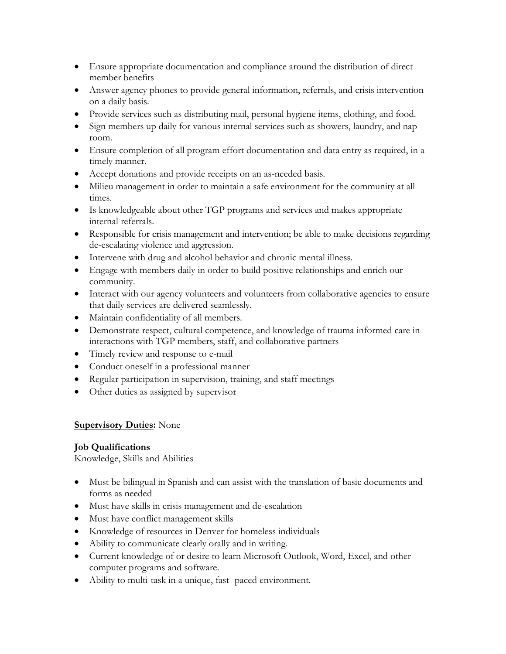- Ensure appropriate documentation and compliance around the distribution of direct member benefits
- Answer agency phones to provide general information, referrals, and crisis intervention on a daily basis.
- Provide services such as distributing mail, personal hygiene items, clothing, and food.
- Sign members up daily for various internal services such as showers, laundry, and nap room.
- Ensure completion of all program effort documentation and data entry as required, in a timely manner.
- Accept donations and provide receipts on an as-needed basis.
- Milieu management in order to maintain a safe environment for the community at all times.
- Is knowledgeable about other TGP programs and services and makes appropriate internal referrals.
- Responsible for crisis management and intervention; be able to make decisions regarding de-escalating violence and aggression.
- Intervene with drug and alcohol behavior and chronic mental illness.
- Engage with members daily in order to build positive relationships and enrich our community.
- Interact with our agency volunteers and volunteers from collaborative agencies to ensure that daily services are delivered seamlessly.
- Maintain confidentiality of all members.
- Demonstrate respect, cultural competence, and knowledge of trauma informed care in interactions with TGP members, staff, and collaborative partners
- Timely review and response to e-mail
- Conduct oneself in a professional manner
- Regular participation in supervision, training, and staff meetings
- Other duties as assigned by supervisor

## **Supervisory Duties:** None

## **Job Qualifications**

Knowledge, Skills and Abilities

- Must be bilingual in Spanish and can assist with the translation of basic documents and forms as needed
- Must have skills in crisis management and de-escalation
- Must have conflict management skills
- Knowledge of resources in Denver for homeless individuals
- Ability to communicate clearly orally and in writing.
- Current knowledge of or desire to learn Microsoft Outlook, Word, Excel, and other computer programs and software.
- Ability to multi-task in a unique, fast-paced environment.